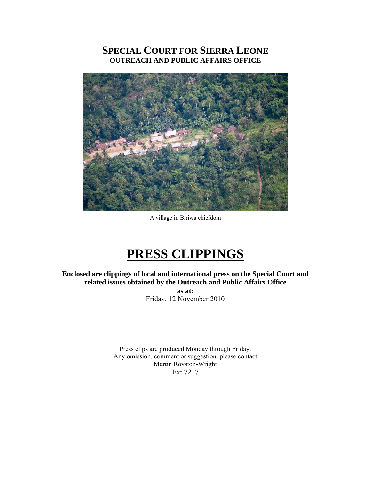# **SPECIAL COURT FOR SIERRA LEONE OUTREACH AND PUBLIC AFFAIRS OFFICE**



A village in Biriwa chiefdom

# **PRESS CLIPPINGS**

**Enclosed are clippings of local and international press on the Special Court and related issues obtained by the Outreach and Public Affairs Office** 

> **as at:**  Friday, 12 November 2010

Press clips are produced Monday through Friday. Any omission, comment or suggestion, please contact Martin Royston-Wright Ext 7217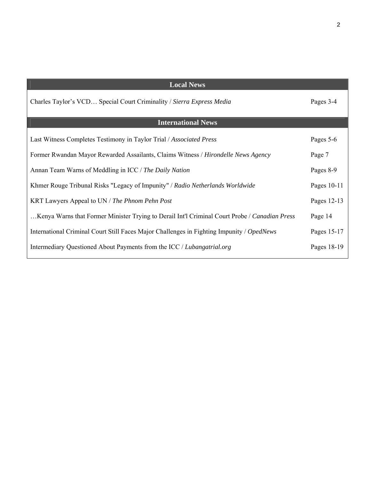| <b>Local News</b>                                                                             |               |
|-----------------------------------------------------------------------------------------------|---------------|
| Charles Taylor's VCD Special Court Criminality / Sierra Express Media                         | Pages 3-4     |
| <b>International News</b>                                                                     |               |
| Last Witness Completes Testimony in Taylor Trial / Associated Press                           | Pages 5-6     |
| Former Rwandan Mayor Rewarded Assailants, Claims Witness / Hirondelle News Agency             | Page 7        |
| Annan Team Warns of Meddling in ICC / The Daily Nation                                        | Pages 8-9     |
| Khmer Rouge Tribunal Risks "Legacy of Impunity" / Radio Netherlands Worldwide                 | Pages $10-11$ |
| KRT Lawyers Appeal to UN / The Phnom Pehn Post                                                | Pages 12-13   |
| Kenya Warns that Former Minister Trying to Derail Int'l Criminal Court Probe / Canadian Press | Page 14       |
| International Criminal Court Still Faces Major Challenges in Fighting Impunity / OpedNews     | Pages 15-17   |
| Intermediary Questioned About Payments from the ICC / Lubangatrial.org                        | Pages 18-19   |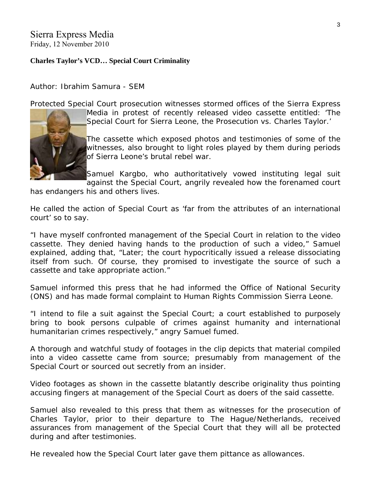### Sierra Express Media Friday, 12 November 2010

# **Charles Taylor's VCD… Special Court Criminality**

Author: Ibrahim Samura - SEM

[Protected Specia](http://www.sierraexpressmedia.com/archives/16175)l Court prosecution witnesses stormed offices of the Sierra Express



Media in protest of recently released video cassette entitled: 'The Special Court for Sierra Leone, the Prosecution vs. Charles Taylor.'

The cassette which exposed photos and testimonies of some of the witnesses, also brought to light roles played by them during periods of Sierra Leone's brutal rebel war.

Samuel Kargbo, who authoritatively vowed instituting legal suit against the Special Court, angrily revealed how the forenamed court

has endangers his and others lives.

He called the action of Special Court as 'far from the attributes of an international court' so to say.

"I have myself confronted management of the Special Court in relation to the video cassette. They denied having hands to the production of such a video," Samuel explained, adding that, "Later; the court hypocritically issued a release dissociating itself from such. Of course, they promised to investigate the source of such a cassette and take appropriate action."

Samuel informed this press that he had informed the Office of National Security (ONS) and has made formal complaint to Human Rights Commission Sierra Leone.

"I intend to file a suit against the Special Court; a court established to purposely bring to book persons culpable of crimes against humanity and international humanitarian crimes respectively," angry Samuel fumed.

A thorough and watchful study of footages in the clip depicts that material compiled into a video cassette came from source; presumably from management of the Special Court or sourced out secretly from an insider.

Video footages as shown in the cassette blatantly describe originality thus pointing accusing fingers at management of the Special Court as doers of the said cassette.

Samuel also revealed to this press that them as witnesses for the prosecution of Charles Taylor, prior to their departure to The Hague/Netherlands, received assurances from management of the Special Court that they will all be protected during and after testimonies.

He revealed how the Special Court later gave them pittance as allowances.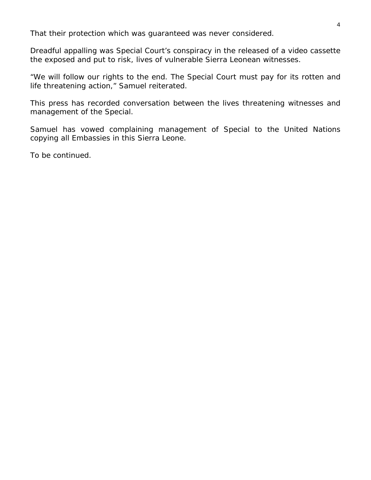That their protection which was guaranteed was never considered.

Dreadful appalling was Special Court's conspiracy in the released of a video cassette the exposed and put to risk, lives of vulnerable Sierra Leonean witnesses.

"We will follow our rights to the end. The Special Court must pay for its rotten and life threatening action," Samuel reiterated.

This press has recorded conversation between the lives threatening witnesses and management of the Special.

Samuel has vowed complaining management of Special to the United Nations copying all Embassies in this Sierra Leone.

To be continued.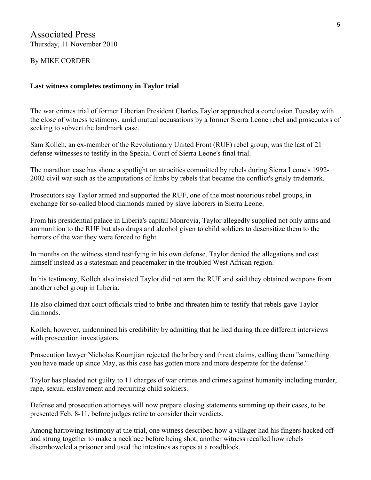Associated Press Thursday, 11 November 2010

By MIKE CORDER

### **Last witness completes testimony in Taylor trial**

The war crimes trial of former Liberian President Charles Taylor approached a conclusion Tuesday with the close of witness testimony, amid mutual accusations by a former Sierra Leone rebel and prosecutors of seeking to subvert the landmark case.

Sam Kolleh, an ex-member of the Revolutionary United Front (RUF) rebel group, was the last of 21 defense witnesses to testify in the Special Court of Sierra Leone's final trial.

The marathon case has shone a spotlight on atrocities committed by rebels during Sierra Leone's 1992- 2002 civil war such as the amputations of limbs by rebels that became the conflict's grisly trademark.

Prosecutors say Taylor armed and supported the RUF, one of the most notorious rebel groups, in exchange for so-called blood diamonds mined by slave laborers in Sierra Leone.

From his presidential palace in Liberia's capital Monrovia, Taylor allegedly supplied not only arms and ammunition to the RUF but also drugs and alcohol given to child soldiers to desensitize them to the horrors of the war they were forced to fight.

In months on the witness stand testifying in his own defense, Taylor denied the allegations and cast himself instead as a statesman and peacemaker in the troubled West African region.

In his testimony, Kolleh also insisted Taylor did not arm the RUF and said they obtained weapons from another rebel group in Liberia.

He also claimed that court officials tried to bribe and threaten him to testify that rebels gave Taylor diamonds.

Kolleh, however, undermined his credibility by admitting that he lied during three different interviews with prosecution investigators.

Prosecution lawyer Nicholas Koumjian rejected the bribery and threat claims, calling them "something you have made up since May, as this case has gotten more and more desperate for the defense."

Taylor has pleaded not guilty to 11 charges of war crimes and crimes against humanity including murder, rape, sexual enslavement and recruiting child soldiers.

Defense and prosecution attorneys will now prepare closing statements summing up their cases, to be presented Feb. 8-11, before judges retire to consider their verdicts.

Among harrowing testimony at the trial, one witness described how a villager had his fingers hacked off and strung together to make a necklace before being shot; another witness recalled how rebels disemboweled a prisoner and used the intestines as ropes at a roadblock.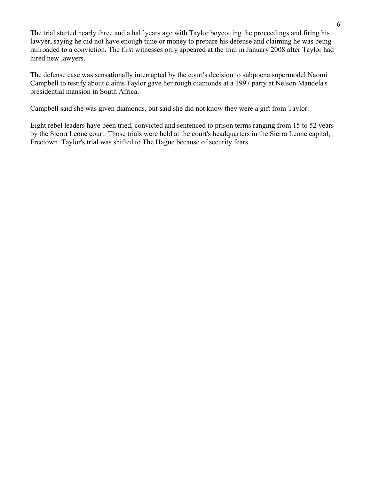The trial started nearly three and a half years ago with Taylor boycotting the proceedings and firing his lawyer, saying he did not have enough time or money to prepare his defense and claiming he was being railroaded to a conviction. The first witnesses only appeared at the trial in January 2008 after Taylor had hired new lawyers.

The defense case was sensationally interrupted by the court's decision to subpoena supermodel Naomi Campbell to testify about claims Taylor gave her rough diamonds at a 1997 party at Nelson Mandela's presidential mansion in South Africa.

Campbell said she was given diamonds, but said she did not know they were a gift from Taylor.

Eight rebel leaders have been tried, convicted and sentenced to prison terms ranging from 15 to 52 years by the Sierra Leone court. Those trials were held at the court's headquarters in the Sierra Leone capital, Freetown. Taylor's trial was shifted to The Hague because of security fears.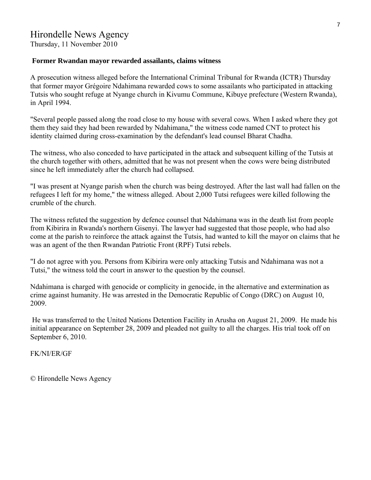Thursday, 11 November 2010

### **Former Rwandan mayor rewarded assailants, claims witness**

A prosecution witness alleged before the International Criminal Tribunal for Rwanda (ICTR) Thursday that former mayor Grégoire Ndahimana rewarded cows to some assailants who participated in attacking Tutsis who sought refuge at Nyange church in Kivumu Commune, Kibuye prefecture (Western Rwanda), in April 1994.

"Several people passed along the road close to my house with several cows. When I asked where they got them they said they had been rewarded by Ndahimana," the witness code named CNT to protect his identity claimed during cross-examination by the defendant's lead counsel Bharat Chadha.

The witness, who also conceded to have participated in the attack and subsequent killing of the Tutsis at the church together with others, admitted that he was not present when the cows were being distributed since he left immediately after the church had collapsed.

"I was present at Nyange parish when the church was being destroyed. After the last wall had fallen on the refugees I left for my home," the witness alleged. About 2,000 Tutsi refugees were killed following the crumble of the church.

The witness refuted the suggestion by defence counsel that Ndahimana was in the death list from people from Kibirira in Rwanda's northern Gisenyi. The lawyer had suggested that those people, who had also come at the parish to reinforce the attack against the Tutsis, had wanted to kill the mayor on claims that he was an agent of the then Rwandan Patriotic Front (RPF) Tutsi rebels.

"I do not agree with you. Persons from Kibirira were only attacking Tutsis and Ndahimana was not a Tutsi," the witness told the court in answer to the question by the counsel.

Ndahimana is charged with genocide or complicity in genocide, in the alternative and extermination as crime against humanity. He was arrested in the Democratic Republic of Congo (DRC) on August 10, 2009.

 He was transferred to the United Nations Detention Facility in Arusha on August 21, 2009. He made his initial appearance on September 28, 2009 and pleaded not guilty to all the charges. His trial took off on September 6, 2010.

FK/NI/ER/GF

© Hirondelle News Agency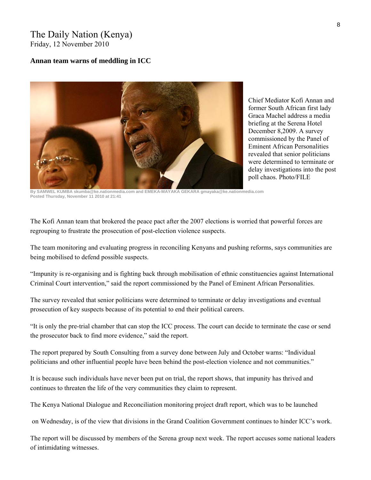## The Daily Nation (Kenya) Friday, 12 November 2010

#### **Annan team warns of meddling in ICC**



Chief Mediator Kofi Annan and former South African first lady Graca Machel address a media briefing at the Serena Hotel December 8,2009. A survey commissioned by the Panel of Eminent African Personalities revealed that senior politicians were determined to terminate or delay investigations into the post poll chaos. Photo/FILE

**By SAMWEL KUMBA skumba@ke.nationmedia.com and EMEKA-MAYAKA GEKARA gmayaka@ke.nationmedia.com Posted Thursday, November 11 2010 at 21:41** 

The Kofi Annan team that brokered the peace pact after the 2007 elections is worried that powerful forces are regrouping to frustrate the prosecution of post-election violence suspects.

The team monitoring and evaluating progress in reconciling Kenyans and pushing reforms, says communities are being mobilised to defend possible suspects.

"Impunity is re-organising and is fighting back through mobilisation of ethnic constituencies against International Criminal Court intervention," said the report commissioned by the Panel of Eminent African Personalities.

The survey revealed that senior politicians were determined to terminate or delay investigations and eventual prosecution of key suspects because of its potential to end their political careers.

"It is only the pre-trial chamber that can stop the ICC process. The court can decide to terminate the case or send the prosecutor back to find more evidence," said the report.

The report prepared by South Consulting from a survey done between July and October warns: "Individual politicians and other influential people have been behind the post-election violence and not communities."

It is because such individuals have never been put on trial, the report shows, that impunity has thrived and continues to threaten the life of the very communities they claim to represent.

The Kenya National Dialogue and Reconciliation monitoring project draft report, which was to be launched

on Wednesday, is of the view that divisions in the Grand Coalition Government continues to hinder ICC's work.

The report will be discussed by members of the Serena group next week. The report accuses some national leaders of intimidating witnesses.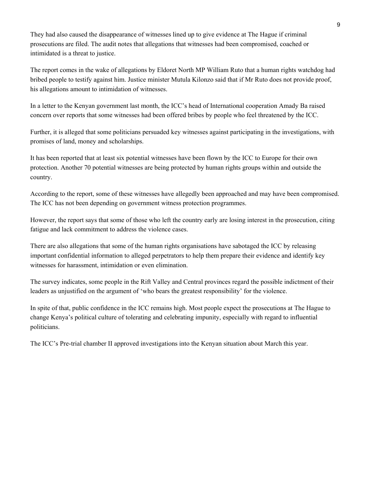They had also caused the disappearance of witnesses lined up to give evidence at The Hague if criminal prosecutions are filed. The audit notes that allegations that witnesses had been compromised, coached or intimidated is a threat to justice.

The report comes in the wake of [allegations by Eldoret North MP William Ruto that a human rights watchdog had](http://www.nation.co.ke/News/Ruto%20accuses%20rights%20official%20of%20coaching%20witnesses%20/-/1056/1049908/-/11m285kz/-/index.html)  [bribed people](http://www.nation.co.ke/News/Ruto%20accuses%20rights%20official%20of%20coaching%20witnesses%20/-/1056/1049908/-/11m285kz/-/index.html) to testify against him. Justice minister Mutula Kilonzo said that if Mr Ruto does not provide proof, his allegations amount to intimidation of witnesses.

In a letter to the Kenyan government last month, the ICC's head of International cooperation Amady Ba raised concern over reports that some witnesses had been offered bribes by people who feel threatened by the ICC.

Further, it is alleged that some politicians persuaded key witnesses against participating in the investigations, with promises of land, money and scholarships.

It has been reported that at least six potential witnesses have been flown by the ICC to Europe for their own protection. Another 70 potential witnesses are being protected by human rights groups within and outside the country.

According to the report, some of these witnesses have allegedly been approached and may have been compromised. The ICC has not been depending on government witness protection programmes.

However, the report says that some of those who left the country early are losing interest in the prosecution, citing fatigue and lack commitment to address the violence cases.

There are also allegations that some of the human rights organisations have sabotaged the ICC by releasing important confidential information to alleged perpetrators to help them prepare their evidence and identify key witnesses for harassment, intimidation or even elimination.

The survey indicates, some people in the Rift Valley and Central provinces regard the possible indictment of their leaders as unjustified on the argument of 'who bears the greatest responsibility' for the violence.

In spite of that, public confidence in the ICC remains high. Most people expect the prosecutions at The Hague to change Kenya's political culture of tolerating and celebrating impunity, especially with regard to influential politicians.

The ICC's Pre-trial chamber II approved investigations into the Kenyan situation about March this year.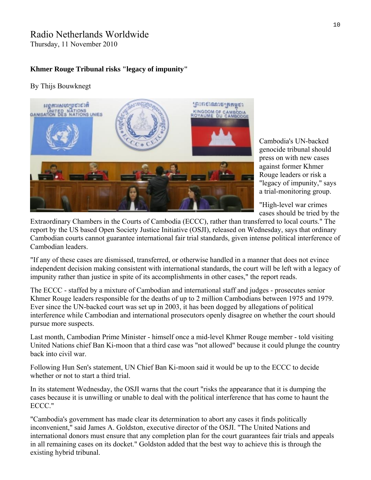# Radio Netherlands Worldwide

Thursday, 11 November 2010

### **Khmer Rouge Tribunal risks "legacy of impunity"**

### By Thijs Bouwknegt



Cambodia's UN-backed genocide tribunal should press on with new cases against former Khmer Rouge leaders or risk a "legacy of impunity," says a trial-monitoring group.

"High-level war crimes cases should be tried by the

Extraordinary Chambers in the Courts of Cambodia ([ECCC\)](http://www.eccc.gov.kh/), rather than transferred to local courts." The [report](http://www.soros.org/initiatives/justice/focus/international_justice/articles_publications/publications/khmer-rouge-tribunal-20101110/cambodia-khmer-rouge-20101110.pdf) by the US based Open Society Justice Initiative ([OSJI\)](http://www.soros.org/initiatives/justice), released on Wednesday, says that ordinary Cambodian courts cannot guarantee international fair trial standards, given intense political interference of Cambodian leaders.

"If any of these cases are dismissed, transferred, or otherwise handled in a manner that does not evince independent decision making consistent with international standards, the court will be left with a legacy of impunity rather than justice in spite of its accomplishments in other cases," the report reads.

The ECCC - staffed by a mixture of Cambodian and international staff and judges - prosecutes senior Khmer Rouge leaders responsible for the deaths of up to 2 million Cambodians between 1975 and 1979. Ever since the UN-backed court was set up in 2003, it has been dogged by allegations of political interference while Cambodian and international prosecutors openly disagree on whether the court should pursue more suspects.

Last month, Cambodian Prime Minister - himself once a mid-level Khmer Rouge member - told visiting United Nations chief Ban Ki-moon that a third case was "not allowed" because it could plunge the country back into civil war.

Following Hun Sen's statement, UN Chief Ban Ki-moon said it would be up to the ECCC to decide whether or not to start a third trial.

In its statement Wednesday, the OSJI warns that the court "risks the appearance that it is dumping the cases because it is unwilling or unable to deal with the political interference that has come to haunt the ECCC."

"Cambodia's government has made clear its determination to abort any cases it finds politically inconvenient," said James A. Goldston, executive director of the OSJI. "The United Nations and international donors must ensure that any completion plan for the court guarantees fair trials and appeals in all remaining cases on its docket." Goldston added that the best way to achieve this is through the existing hybrid tribunal.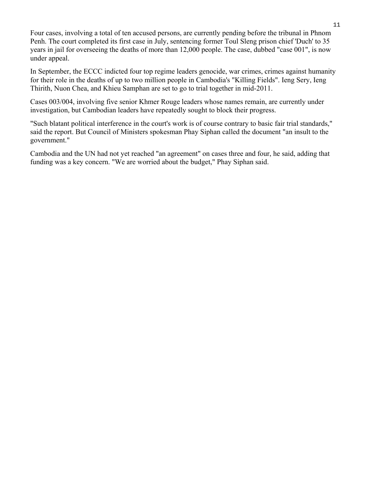Four cases, involving a total of ten accused persons, are currently pending before the tribunal in Phnom Penh. The court completed its first case in July, sentencing former Toul Sleng prison chief 'Duch' to 35 years in jail for overseeing the deaths of more than 12,000 people. The case, dubbed "case 001", is now under appeal.

In September, the ECCC indicted four top regime leaders genocide, war crimes, crimes against humanity for their role in the deaths of up to two million people in Cambodia's "Killing Fields". Ieng Sery, Ieng Thirith, Nuon Chea, and Khieu Samphan are set to go to trial together in mid-2011.

Cases 003/004, involving five senior Khmer Rouge leaders whose names remain, are currently under investigation, but Cambodian leaders have repeatedly sought to block their progress.

"Such blatant political interference in the court's work is of course contrary to basic fair trial standards," said the report. But Council of Ministers spokesman Phay Siphan called the document "an insult to the government."

Cambodia and the UN had not yet reached "an agreement" on cases three and four, he said, adding that funding was a key concern. "We are worried about the budget," Phay Siphan said.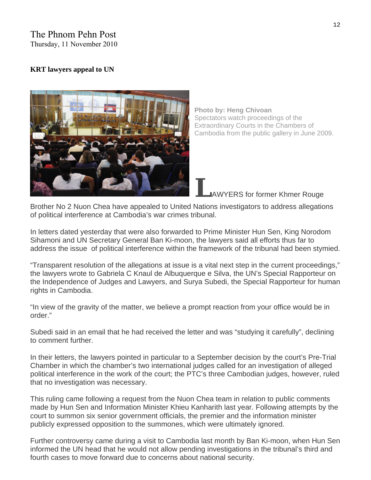# The Phnom Pehn Post

Thursday, 11 November 2010

### **[KRT lawyers appeal to UN](http://www.phnompenhpost.com/index.php/2010111144679/National-news/krt-lawyers-appeal-to-un.html)**



**Photo by: Heng Chivoan**  Spectators watch proceedings of the Extraordinary Courts in the Chambers of Cambodia from the public gallery in June 2009.

**L**AWYERS for former Khmer Rouge

Brother No 2 Nuon Chea have appealed to United Nations investigators to address allegations of political interference at Cambodia's war crimes tribunal.

In letters dated yesterday that were also forwarded to Prime Minister Hun Sen, King Norodom Sihamoni and UN Secretary General Ban Ki-moon, the lawyers said all efforts thus far to address the issue of political interference within the framework of the tribunal had been stymied.

"Transparent resolution of the allegations at issue is a vital next step in the current proceedings," the lawyers wrote to Gabriela C Knaul de Albuquerque e Silva, the UN's Special Rapporteur on the Independence of Judges and Lawyers, and Surya Subedi, the Special Rapporteur for human rights in Cambodia.

"In view of the gravity of the matter, we believe a prompt reaction from your office would be in order."

Subedi said in an email that he had received the letter and was "studying it carefully", declining to comment further.

In their letters, the lawyers pointed in particular to a September decision by the court's Pre-Trial Chamber in which the chamber's two international judges called for an investigation of alleged political interference in the work of the court; the PTC's three Cambodian judges, however, ruled that no investigation was necessary.

This ruling came following a request from the Nuon Chea team in relation to public comments made by Hun Sen and Information Minister Khieu Kanharith last year. Following attempts by the court to summon six senior government officials, the premier and the information minister publicly expressed opposition to the summones, which were ultimately ignored.

Further controversy came during a visit to Cambodia last month by Ban Ki-moon, when Hun Sen informed the UN head that he would not allow pending investigations in the tribunal's third and fourth cases to move forward due to concerns about national security.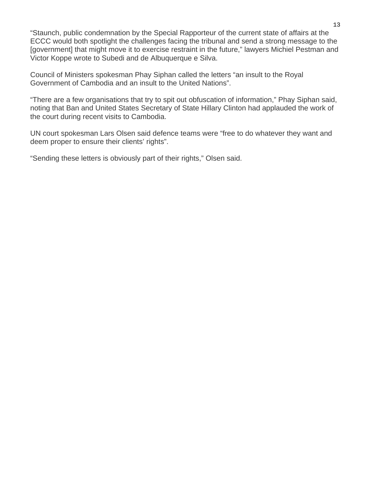"Staunch, public condemnation by the Special Rapporteur of the current state of affairs at the ECCC would both spotlight the challenges facing the tribunal and send a strong message to the [government] that might move it to exercise restraint in the future," lawyers Michiel Pestman and Victor Koppe wrote to Subedi and de Albuquerque e Silva.

Council of Ministers spokesman Phay Siphan called the letters "an insult to the Royal Government of Cambodia and an insult to the United Nations".

"There are a few organisations that try to spit out obfuscation of information," Phay Siphan said, noting that Ban and United States Secretary of State Hillary Clinton had applauded the work of the court during recent visits to Cambodia.

UN court spokesman Lars Olsen said defence teams were "free to do whatever they want and deem proper to ensure their clients' rights".

"Sending these letters is obviously part of their rights," Olsen said.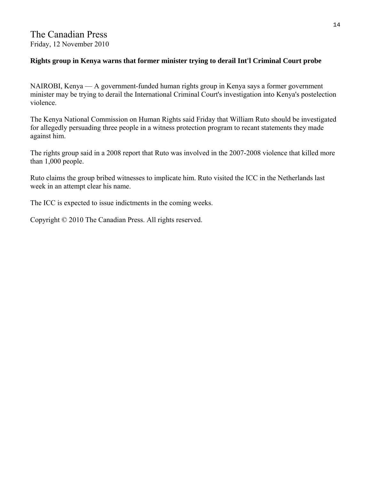## **Rights group in Kenya warns that former minister trying to derail Int'l Criminal Court probe**

NAIROBI, Kenya — A government-funded human rights group in Kenya says a former government minister may be trying to derail the International Criminal Court's investigation into Kenya's postelection violence.

The Kenya National Commission on Human Rights said Friday that William Ruto should be investigated for allegedly persuading three people in a witness protection program to recant statements they made against him.

The rights group said in a 2008 report that Ruto was involved in the 2007-2008 violence that killed more than 1,000 people.

Ruto claims the group bribed witnesses to implicate him. Ruto visited the ICC in the Netherlands last week in an attempt clear his name.

The ICC is expected to issue indictments in the coming weeks.

Copyright © 2010 The Canadian Press. All rights reserved.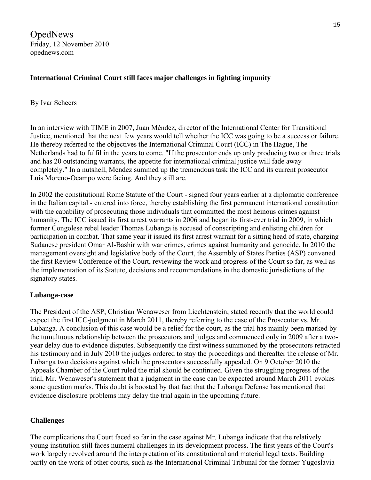OpedNews Friday, 12 November 2010 opednews.com

### **International Criminal Court still faces major challenges in fighting impunity**

#### By Ivar Scheers

In an interview with TIME in 2007, Juan Méndez, director of the International Center for Transitional Justice, mentioned that the next few years would tell whether the ICC was going to be a success or failure. He thereby referred to the objectives the International Criminal Court (ICC) in The Hague, The Netherlands had to fulfil in the years to come. "If the prosecutor ends up only producing two or three trials and has 20 outstanding warrants, the appetite for international criminal justice will fade away completely." In a nutshell, Méndez summed up the tremendous task the ICC and its current prosecutor Luis Moreno-Ocampo were facing. And they still are.

In 2002 the constitutional Rome Statute of the Court - signed four years earlier at a diplomatic conference in the Italian capital - entered into force, thereby establishing the first permanent international constitution with the capability of prosecuting those individuals that committed the most heinous crimes against humanity. The ICC issued its first arrest warrants in 2006 and began its first-ever trial in 2009, in which former Congolese rebel leader Thomas Lubanga is accused of conscripting and enlisting children for participation in combat. That same year it issued its first arrest warrant for a sitting head of state, charging Sudanese president Omar Al-Bashir with war crimes, crimes against humanity and genocide. In 2010 the management oversight and legislative body of the Court, the Assembly of States Parties (ASP) convened the first Review Conference of the Court, reviewing the work and progress of the Court so far, as well as the implementation of its Statute, decisions and recommendations in the domestic jurisdictions of the signatory states.

### **Lubanga-case**

The President of the ASP, Christian Wenaweser from Liechtenstein, stated recently that the world could expect the first ICC-judgment in March 2011, thereby referring to the case of the Prosecutor vs. Mr. Lubanga. A conclusion of this case would be a relief for the court, as the trial has mainly been marked by the tumultuous relationship between the prosecutors and judges and commenced only in 2009 after a twoyear delay due to evidence disputes. Subsequently the first witness summoned by the prosecutors retracted his testimony and in July 2010 the judges ordered to stay the proceedings and thereafter the release of Mr. Lubanga two decisions against which the prosecutors successfully appealed. On 9 October 2010 the Appeals Chamber of the Court ruled the trial should be continued. Given the struggling progress of the trial, Mr. Wenaweser's statement that a judgment in the case can be expected around March 2011 evokes some question marks. This doubt is boosted by that fact that the Lubanga Defense has mentioned that evidence disclosure problems may delay the trial again in the upcoming future.

### **Challenges**

The complications the Court faced so far in the case against Mr. Lubanga indicate that the relatively young institution still faces numeral challenges in its development process. The first years of the Court's work largely revolved around the interpretation of its constitutional and material legal texts. Building partly on the work of other courts, such as the International Criminal Tribunal for the former Yugoslavia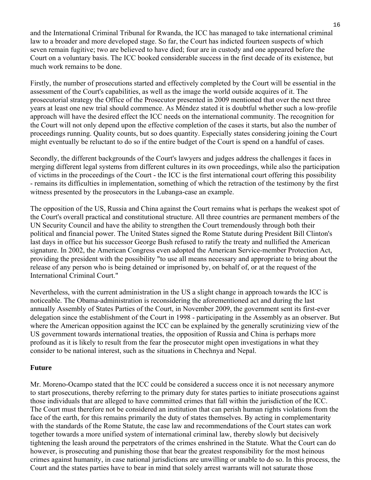and the International Criminal Tribunal for Rwanda, the ICC has managed to take international criminal law to a broader and more developed stage. So far, the Court has indicted fourteen suspects of which seven remain fugitive; two are believed to have died; four are in custody and one appeared before the Court on a voluntary basis. The ICC booked considerable success in the first decade of its existence, but much work remains to be done.

Firstly, the number of prosecutions started and effectively completed by the Court will be essential in the assessment of the Court's capabilities, as well as the image the world outside acquires of it. The prosecutorial strategy the Office of the Prosecutor presented in 2009 mentioned that over the next three years at least one new trial should commence. As Méndez stated it is doubtful whether such a low-profile approach will have the desired effect the ICC needs on the international community. The recognition for the Court will not only depend upon the effective completion of the cases it starts, but also the number of proceedings running. Quality counts, but so does quantity. Especially states considering joining the Court might eventually be reluctant to do so if the entire budget of the Court is spend on a handful of cases.

Secondly, the different backgrounds of the Court's lawyers and judges address the challenges it faces in merging different legal systems from different cultures in its own proceedings, while also the participation of victims in the proceedings of the Court - the ICC is the first international court offering this possibility - remains its difficulties in implementation, something of which the retraction of the testimony by the first witness presented by the prosecutors in the Lubanga-case an example.

The opposition of the US, Russia and China against the Court remains what is perhaps the weakest spot of the Court's overall practical and constitutional structure. All three countries are permanent members of the UN Security Council and have the ability to strengthen the Court tremendously through both their political and financial power. The United States signed the Rome Statute during President Bill Clinton's last days in office but his successor George Bush refused to ratify the treaty and nullified the American signature. In 2002, the American Congress even adopted the American Service-member Protection Act, providing the president with the possibility "to use all means necessary and appropriate to bring about the release of any person who is being detained or imprisoned by, on behalf of, or at the request of the International Criminal Court."

Nevertheless, with the current administration in the US a slight change in approach towards the ICC is noticeable. The Obama-administration is reconsidering the aforementioned act and during the last annually Assembly of States Parties of the Court, in November 2009, the government sent its first-ever delegation since the establishment of the Court in 1998 - participating in the Assembly as an observer. But where the American opposition against the ICC can be explained by the generally scrutinizing view of the US government towards international treaties, the opposition of Russia and China is perhaps more profound as it is likely to result from the fear the prosecutor might open investigations in what they consider to be national interest, such as the situations in Chechnya and Nepal.

### **Future**

Mr. Moreno-Ocampo stated that the ICC could be considered a success once it is not necessary anymore to start prosecutions, thereby referring to the primary duty for states parties to initiate prosecutions against those individuals that are alleged to have committed crimes that fall within the jurisdiction of the ICC. The Court must therefore not be considered an institution that can perish human rights violations from the face of the earth, for this remains primarily the duty of states themselves. By acting in complementarity with the standards of the Rome Statute, the case law and recommendations of the Court states can work together towards a more unified system of international criminal law, thereby slowly but decisively tightening the leash around the perpetrators of the crimes enshrined in the Statute. What the Court can do however, is prosecuting and punishing those that bear the greatest responsibility for the most heinous crimes against humanity, in case national jurisdictions are unwilling or unable to do so. In this process, the Court and the states parties have to bear in mind that solely arrest warrants will not saturate those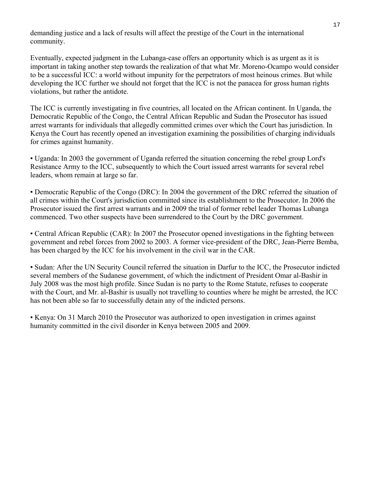demanding justice and a lack of results will affect the prestige of the Court in the international community.

Eventually, expected judgment in the Lubanga-case offers an opportunity which is as urgent as it is important in taking another step towards the realization of that what Mr. Moreno-Ocampo would consider to be a successful ICC: a world without impunity for the perpetrators of most heinous crimes. But while developing the ICC further we should not forget that the ICC is not the panacea for gross human rights violations, but rather the antidote.

The ICC is currently investigating in five countries, all located on the African continent. In Uganda, the Democratic Republic of the Congo, the Central African Republic and Sudan the Prosecutor has issued arrest warrants for individuals that allegedly committed crimes over which the Court has jurisdiction. In Kenya the Court has recently opened an investigation examining the possibilities of charging individuals for crimes against humanity.

▪ Uganda: In 2003 the government of Uganda referred the situation concerning the rebel group Lord's Resistance Army to the ICC, subsequently to which the Court issued arrest warrants for several rebel leaders, whom remain at large so far.

▪ Democratic Republic of the Congo (DRC): In 2004 the government of the DRC referred the situation of all crimes within the Court's jurisdiction committed since its establishment to the Prosecutor. In 2006 the Prosecutor issued the first arrest warrants and in 2009 the trial of former rebel leader Thomas Lubanga commenced. Two other suspects have been surrendered to the Court by the DRC government.

• Central African Republic (CAR): In 2007 the Prosecutor opened investigations in the fighting between government and rebel forces from 2002 to 2003. A former vice-president of the DRC, Jean-Pierre Bemba, has been charged by the ICC for his involvement in the civil war in the CAR.

▪ Sudan: After the UN Security Council referred the situation in Darfur to the ICC, the Prosecutor indicted several members of the Sudanese government, of which the indictment of President Omar al-Bashir in July 2008 was the most high profile. Since Sudan is no party to the Rome Statute, refuses to cooperate with the Court, and Mr. al-Bashir is usually not travelling to counties where he might be arrested, the ICC has not been able so far to successfully detain any of the indicted persons.

▪ Kenya: On 31 March 2010 the Prosecutor was authorized to open investigation in crimes against humanity committed in the civil disorder in Kenya between 2005 and 2009.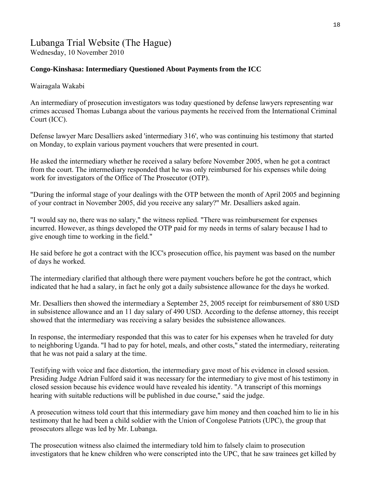# Lubanga Trial Website (The Hague) Wednesday, 10 November 2010

### **Congo-Kinshasa: Intermediary Questioned About Payments from the ICC**

Wairagala Wakabi

An intermediary of prosecution investigators was today questioned by defense lawyers representing war crimes accused Thomas Lubanga about the various payments he received from the International Criminal Court (ICC).

Defense lawyer Marc Desalliers asked 'intermediary 316', who was continuing his testimony that started on Monday, to explain various payment vouchers that were presented in court.

He asked the intermediary whether he received a salary before November 2005, when he got a contract from the court. The intermediary responded that he was only reimbursed for his expenses while doing work for investigators of the Office of The Prosecutor (OTP).

"During the informal stage of your dealings with the OTP between the month of April 2005 and beginning of your contract in November 2005, did you receive any salary?" Mr. Desalliers asked again.

"I would say no, there was no salary," the witness replied. "There was reimbursement for expenses incurred. However, as things developed the OTP paid for my needs in terms of salary because I had to give enough time to working in the field."

He said before he got a contract with the ICC's prosecution office, his payment was based on the number of days he worked.

The intermediary clarified that although there were payment vouchers before he got the contract, which indicated that he had a salary, in fact he only got a daily subsistence allowance for the days he worked.

Mr. Desalliers then showed the intermediary a September 25, 2005 receipt for reimbursement of 880 USD in subsistence allowance and an 11 day salary of 490 USD. According to the defense attorney, this receipt showed that the intermediary was receiving a salary besides the subsistence allowances.

In response, the intermediary responded that this was to cater for his expenses when he traveled for duty to neighboring Uganda. "I had to pay for hotel, meals, and other costs," stated the intermediary, reiterating that he was not paid a salary at the time.

Testifying with voice and face distortion, the intermediary gave most of his evidence in closed session. Presiding Judge Adrian Fulford said it was necessary for the intermediary to give most of his testimony in closed session because his evidence would have revealed his identity. "A transcript of this mornings hearing with suitable reductions will be published in due course," said the judge.

A prosecution witness told court that this intermediary gave him money and then coached him to lie in his testimony that he had been a child soldier with the Union of Congolese Patriots (UPC), the group that prosecutors allege was led by Mr. Lubanga.

The prosecution witness also claimed the intermediary told him to falsely claim to prosecution investigators that he knew children who were conscripted into the UPC, that he saw trainees get killed by